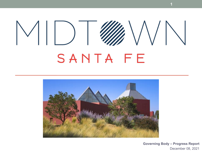# $\mathcal{E} \setminus \mathcal{E} \setminus \mathcal{E} \setminus \mathcal{E}$  $\vee$ ||) SANTA FE



**Governing Body – Progress Report** December 08, 2021

**1**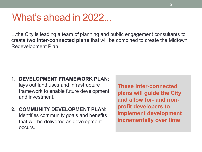## What's ahead in 2022...

…the City is leading a team of planning and public engagement consultants to create **two inter-connected plans** that will be combined to create the Midtown Redevelopment Plan.

- **1. DEVELOPMENT FRAMEWORK PLAN**: lays out land uses and infrastructure framework to enable future development and investment.
- **2. COMMUNITY DEVELOPMENT PLAN**: identifies community goals and benefits that will be delivered as development occurs.

**These inter-connected plans will guide the City and allow for- and nonprofit developers to implement development incrementally over time**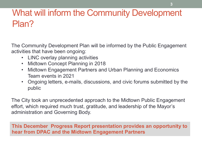## What will inform the Community Development Plan?

The Community Development Plan will be informed by the Public Engagement activities that have been ongoing:

- LINC overlay planning activities
- Midtown Concept Planning in 2018
- Midtown Engagement Partners and Urban Planning and Economics Team events in 2021
- Ongoing letters, e-mails, discussions, and civic forums submitted by the public

The City took an unprecedented approach to the Midtown Public Engagement effort, which required much trust, gratitude, and leadership of the Mayor's administration and Governing Body.

**This December Progress Report presentation provides an opportunity to hear from DPAC and the Midtown Engagement Partners**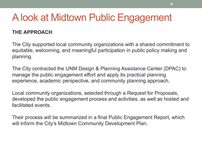## A look at Midtown Public Engagement

#### **THE APPROACH**

The City supported local community organizations with a shared commitment to equitable, welcoming, and meaningful participation in public policy making and planning.

The City contracted the UNM Design & Planning Assistance Center (DPAC) to manage the public engagement effort and apply its practical planning experience, academic perspective, and community planning approach.

Local community organizations, selected through a Request for Proposals, developed the public engagement process and activities, as well as hosted and facilitated events.

Their process will be summarized in a final Public Engagement Report, which will inform the City's Midtown Community Development Plan.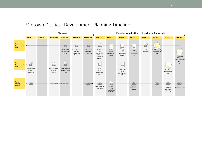#### Midtown District - Development Planning Timeline

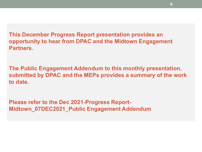**This December Progress Report presentation provides an opportunity to hear from DPAC and the Midtown Engagement Partners.**

**The Public Engagement Addendum to this monthly presentation, submitted by DPAC and the MEPs provides a summary of the work to date.**

**Please refer to the Dec 2021-Progress Report-Midtown\_07DEC2021\_Public Engagement Addendum**